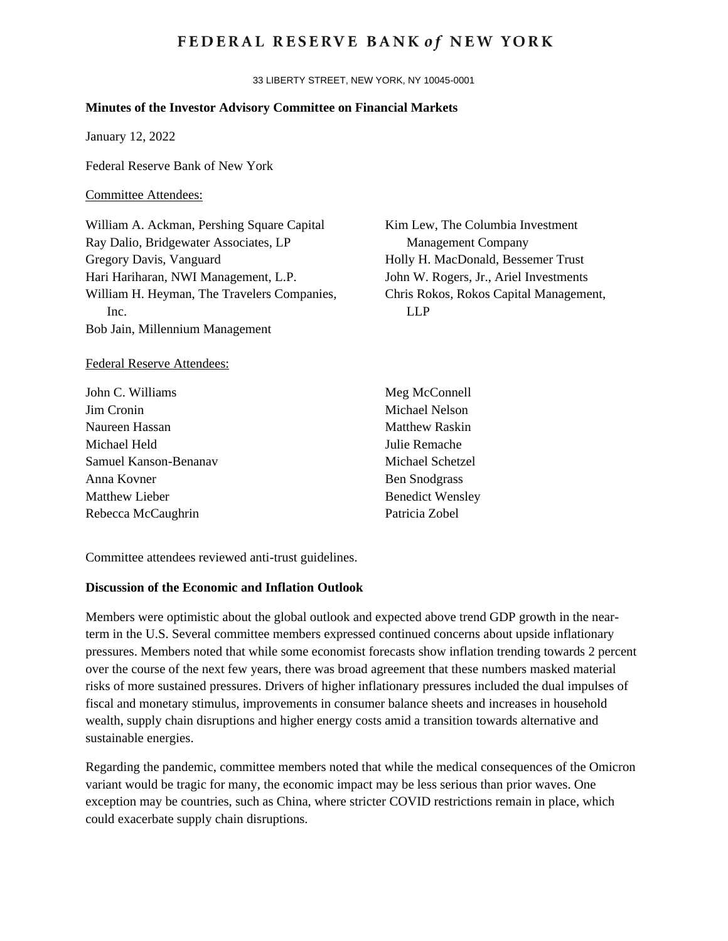## **FEDERAL RESERVE BANK of NEW YORK**

33 LIBERTY STREET, NEW YORK, NY 10045-0001

#### **Minutes of the Investor Advisory Committee on Financial Markets**

January 12, 2022

Federal Reserve Bank of New York

Committee Attendees:

William A. Ackman, Pershing Square Capital Ray Dalio, Bridgewater Associates, LP Gregory Davis, Vanguard Hari Hariharan, NWI Management, L.P. William H. Heyman, The Travelers Companies, Inc. Bob Jain, Millennium Management

Kim Lew, The Columbia Investment Management Company Holly H. MacDonald, Bessemer Trust John W. Rogers, Jr., Ariel Investments Chris Rokos, Rokos Capital Management, LLP

#### Federal Reserve Attendees:

| John C. Williams      | Meg McConnell           |
|-----------------------|-------------------------|
| Jim Cronin            | Michael Nelson          |
| Naureen Hassan        | <b>Matthew Raskin</b>   |
| Michael Held          | Julie Remache           |
| Samuel Kanson-Benanav | Michael Schetzel        |
| Anna Kovner           | <b>Ben Snodgrass</b>    |
| Matthew Lieber        | <b>Benedict Wensley</b> |
| Rebecca McCaughrin    | Patricia Zobel          |

Committee attendees reviewed anti-trust guidelines.

### **Discussion of the Economic and Inflation Outlook**

Members were optimistic about the global outlook and expected above trend GDP growth in the nearterm in the U.S. Several committee members expressed continued concerns about upside inflationary pressures. Members noted that while some economist forecasts show inflation trending towards 2 percent over the course of the next few years, there was broad agreement that these numbers masked material risks of more sustained pressures. Drivers of higher inflationary pressures included the dual impulses of fiscal and monetary stimulus, improvements in consumer balance sheets and increases in household wealth, supply chain disruptions and higher energy costs amid a transition towards alternative and sustainable energies.

Regarding the pandemic, committee members noted that while the medical consequences of the Omicron variant would be tragic for many, the economic impact may be less serious than prior waves. One exception may be countries, such as China, where stricter COVID restrictions remain in place, which could exacerbate supply chain disruptions.